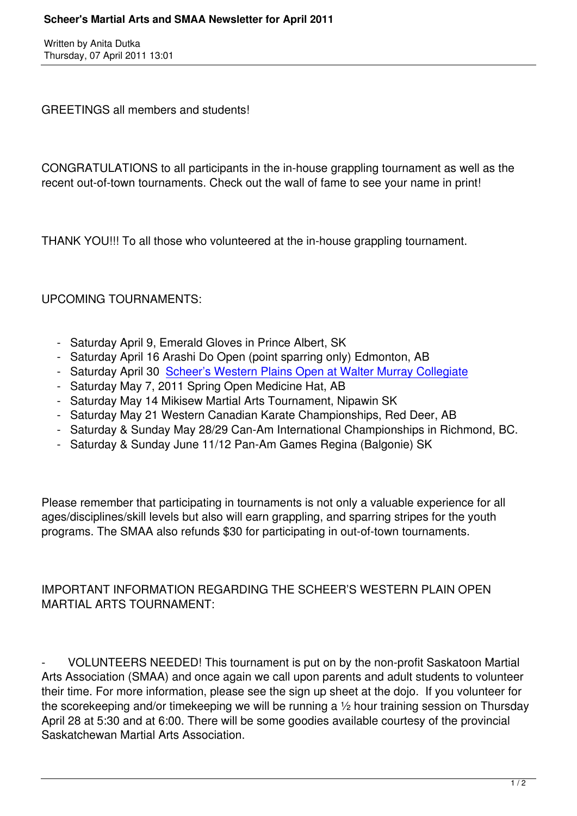GREETINGS all members and students!

CONGRATULATIONS to all participants in the in-house grappling tournament as well as the recent out-of-town tournaments. Check out the wall of fame to see your name in print!

THANK YOU!!! To all those who volunteered at the in-house grappling tournament.

UPCOMING TOURNAMENTS:

- Saturday April 9, Emerald Gloves in Prince Albert, SK
- Saturday April 16 Arashi Do Open (point sparring only) Edmonton, AB
- Saturday April 30 Scheer's Western Plains Open at Walter Murray Collegiate
- Saturday May 7, 2011 Spring Open Medicine Hat, AB
- Saturday May 14 Mikisew Martial Arts Tournament, Nipawin SK
- Saturday May 21 [Western Canadian Karate Championships, Red Deer, AB](index.php?option=com_content&view=article&id=118&Itemid=185)
- Saturday & Sunday May 28/29 Can-Am International Championships in Richmond, BC.
- Saturday & Sunday June 11/12 Pan-Am Games Regina (Balgonie) SK

Please remember that participating in tournaments is not only a valuable experience for all ages/disciplines/skill levels but also will earn grappling, and sparring stripes for the youth programs. The SMAA also refunds \$30 for participating in out-of-town tournaments.

## IMPORTANT INFORMATION REGARDING THE SCHEER'S WESTERN PLAIN OPEN MARTIAL ARTS TOURNAMENT:

- VOLUNTEERS NEEDED! This tournament is put on by the non-profit Saskatoon Martial Arts Association (SMAA) and once again we call upon parents and adult students to volunteer their time. For more information, please see the sign up sheet at the dojo. If you volunteer for the scorekeeping and/or timekeeping we will be running a ½ hour training session on Thursday April 28 at 5:30 and at 6:00. There will be some goodies available courtesy of the provincial Saskatchewan Martial Arts Association.